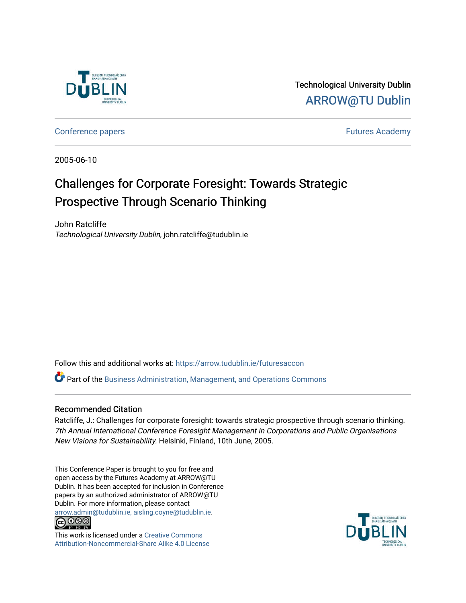

Technological University Dublin [ARROW@TU Dublin](https://arrow.tudublin.ie/) 

[Conference papers](https://arrow.tudublin.ie/futuresaccon) **Futures** Academy

2005-06-10

# Challenges for Corporate Foresight: Towards Strategic Prospective Through Scenario Thinking

John Ratcliffe Technological University Dublin, john.ratcliffe@tudublin.ie

Follow this and additional works at: [https://arrow.tudublin.ie/futuresaccon](https://arrow.tudublin.ie/futuresaccon?utm_source=arrow.tudublin.ie%2Ffuturesaccon%2F1&utm_medium=PDF&utm_campaign=PDFCoverPages) 

 $\bullet$  Part of the [Business Administration, Management, and Operations Commons](http://network.bepress.com/hgg/discipline/623?utm_source=arrow.tudublin.ie%2Ffuturesaccon%2F1&utm_medium=PDF&utm_campaign=PDFCoverPages)

#### Recommended Citation

Ratcliffe, J.: Challenges for corporate foresight: towards strategic prospective through scenario thinking. 7th Annual International Conference Foresight Management in Corporations and Public Organisations New Visions for Sustainability. Helsinki, Finland, 10th June, 2005.

This Conference Paper is brought to you for free and open access by the Futures Academy at ARROW@TU Dublin. It has been accepted for inclusion in Conference papers by an authorized administrator of ARROW@TU Dublin. For more information, please contact [arrow.admin@tudublin.ie, aisling.coyne@tudublin.ie](mailto:arrow.admin@tudublin.ie,%20aisling.coyne@tudublin.ie).



This work is licensed under a [Creative Commons](http://creativecommons.org/licenses/by-nc-sa/4.0/) [Attribution-Noncommercial-Share Alike 4.0 License](http://creativecommons.org/licenses/by-nc-sa/4.0/)

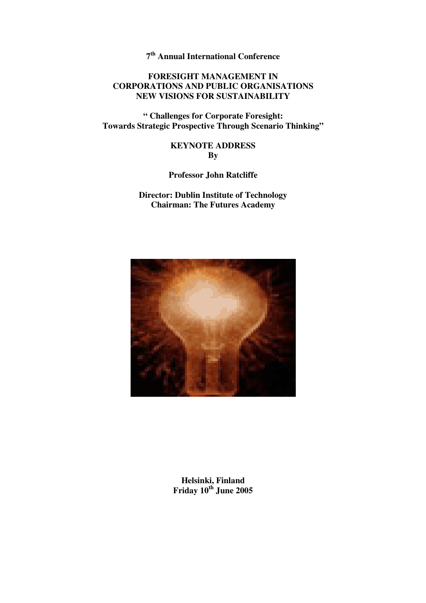**7 th Annual International Conference**

#### **FORESIGHT MANAGEMENT IN CORPORATIONS AND PUBLIC ORGANISATIONS NEW VISIONS FOR SUSTAINABILITY**

**" Challenges for Corporate Foresight: Towards Strategic Prospective Through Scenario Thinking"**

#### **KEYNOTE ADDRESS By**

**Professor John Ratcliffe**

**Director: Dublin Institute of Technology Chairman: The Futures Academy**



**Helsinki, Finland Friday 10 th June 2005**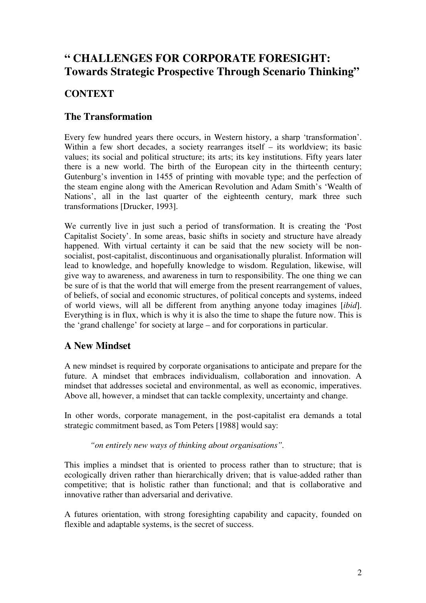# **" CHALLENGES FOR CORPORATE FORESIGHT: Towards Strategic Prospective Through Scenario Thinking"**

# **CONTEXT**

# **The Transformation**

Every few hundred years there occurs, in Western history, a sharp 'transformation'. Within a few short decades, a society rearranges itself – its worldview; its basic values; its social and political structure; its arts; its key institutions. Fifty years later there is a new world. The birth of the European city in the thirteenth century; Gutenburg's invention in 1455 of printing with movable type; and the perfection of the steam engine along with the American Revolution and Adam Smith's 'Wealth of Nations', all in the last quarter of the eighteenth century, mark three such transformations [Drucker, 1993].

We currently live in just such a period of transformation. It is creating the 'Post Capitalist Society'. In some areas, basic shifts in society and structure have already happened. With virtual certainty it can be said that the new society will be nonsocialist, post-capitalist, discontinuous and organisationally pluralist. Information will lead to knowledge, and hopefully knowledge to wisdom. Regulation, likewise, will give way to awareness, and awareness in turn to responsibility. The one thing we can be sure of is that the world that will emerge from the present rearrangement of values, of beliefs, of social and economic structures, of political concepts and systems, indeed of world views, will all be different from anything anyone today imagines [*ibid*]. Everything is in flux, which is why it is also the time to shape the future now. This is the 'grand challenge' for society at large – and for corporations in particular.

# **A New Mindset**

A new mindset is required by corporate organisations to anticipate and prepare for the future. A mindset that embraces individualism, collaboration and innovation. A mindset that addresses societal and environmental, as well as economic, imperatives. Above all, however, a mindset that can tackle complexity, uncertainty and change.

In other words, corporate management, in the post-capitalist era demands a total strategic commitment based, as Tom Peters [1988] would say:

*"on entirely new ways of thinking about organisations".*

This implies a mindset that is oriented to process rather than to structure; that is ecologically driven rather than hierarchically driven; that is value-added rather than competitive; that is holistic rather than functional; and that is collaborative and innovative rather than adversarial and derivative.

A futures orientation, with strong foresighting capability and capacity, founded on flexible and adaptable systems, is the secret of success.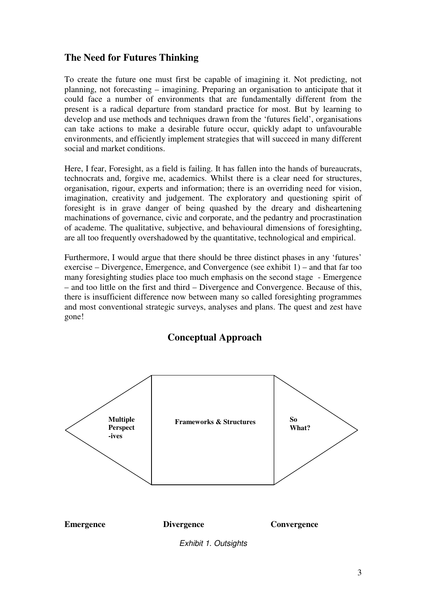# **The Need for Futures Thinking**

To create the future one must first be capable of imagining it. Not predicting, not planning, not forecasting – imagining. Preparing an organisation to anticipate that it could face a number of environments that are fundamentally different from the present is a radical departure from standard practice for most. But by learning to develop and use methods and techniques drawn from the 'futures field', organisations can take actions to make a desirable future occur, quickly adapt to unfavourable environments, and efficiently implement strategies that will succeed in many different social and market conditions.

Here, I fear, Foresight, as a field is failing. It has fallen into the hands of bureaucrats, technocrats and, forgive me, academics. Whilst there is a clear need for structures, organisation, rigour, experts and information; there is an overriding need for vision, imagination, creativity and judgement. The exploratory and questioning spirit of foresight is in grave danger of being quashed by the dreary and disheartening machinations of governance, civic and corporate, and the pedantry and procrastination of academe. The qualitative, subjective, and behavioural dimensions of foresighting, are all too frequently overshadowed by the quantitative, technological and empirical.

Furthermore, I would argue that there should be three distinct phases in any 'futures' exercise – Divergence, Emergence, and Convergence (see exhibit 1) – and that far too many foresighting studies place too much emphasis on the second stage - Emergence – and too little on the first and third – Divergence and Convergence. Because of this, there is insufficient difference now between many so called foresighting programmes and most conventional strategic surveys, analyses and plans. The quest and zest have gone!

# **Conceptual Approach**

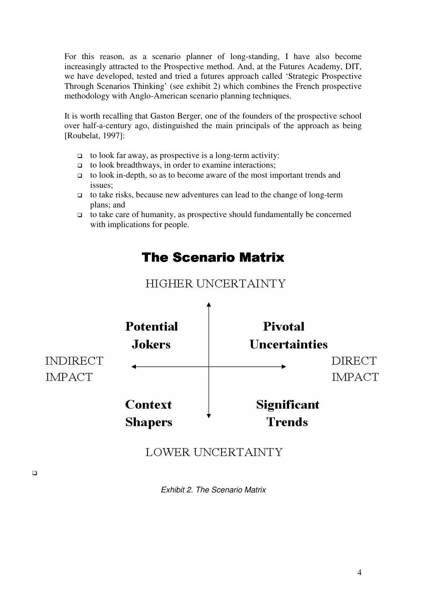For this reason, as a scenario planner of long-standing, I have also become increasingly attracted to the Prospective method. And, at the Futures Academy, DIT, we have developed, tested and tried a futures approach called 'Strategic Prospective Through Scenarios Thinking' (see exhibit 2) which combines the French prospective methodology with Anglo-American scenario planning techniques.

It is worth recalling that Gaston Berger, one of the founders of the prospective school over half-a-century ago, distinguished the main principals of the approach as being [Roubelat, 1997]:

- $\Box$  to look far away, as prospective is a long-term activity:
- $\Box$  to look breadthways, in order to examine interactions;
- to look in-depth, so as to become aware of the most important trends and issues;
- $\Box$  to take risks, because new adventures can lead to the change of long-term plans; and
- $\Box$  to take care of humanity, as prospective should fundamentally be concerned with implications for people.



# **The Scenario Matrix**

*Exhibit 2. The Scenario Matrix*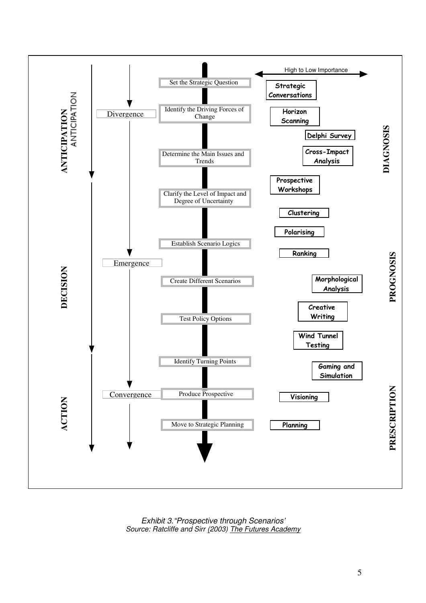

*Exhibit 3."Prospective through Scenarios' Source: Ratcliffe and Sirr (2003) The Futures Academy*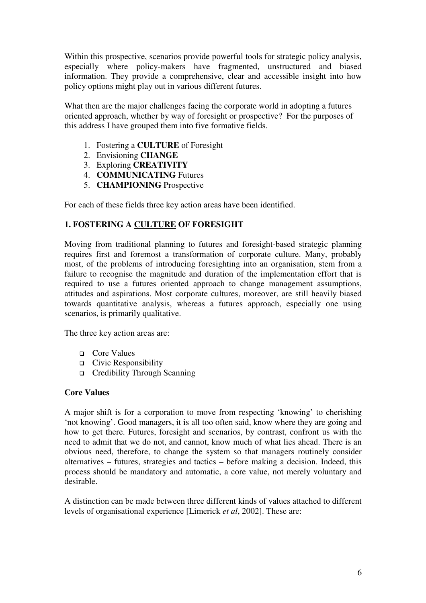Within this prospective, scenarios provide powerful tools for strategic policy analysis, especially where policy-makers have fragmented, unstructured and biased information. They provide a comprehensive, clear and accessible insight into how policy options might play out in various different futures.

What then are the major challenges facing the corporate world in adopting a futures oriented approach, whether by way of foresight or prospective? For the purposes of this address I have grouped them into five formative fields.

- 1. Fostering a **CULTURE** of Foresight
- 2. Envisioning **CHANGE**
- 3. Exploring **CREATIVITY**
- 4. **COMMUNICATING** Futures
- 5. **CHAMPIONING** Prospective

For each of these fields three key action areas have been identified.

#### **1. FOSTERING A CULTURE OF FORESIGHT**

Moving from traditional planning to futures and foresight-based strategic planning requires first and foremost a transformation of corporate culture. Many, probably most, of the problems of introducing foresighting into an organisation, stem from a failure to recognise the magnitude and duration of the implementation effort that is required to use a futures oriented approach to change management assumptions, attitudes and aspirations. Most corporate cultures, moreover, are still heavily biased towards quantitative analysis, whereas a futures approach, especially one using scenarios, is primarily qualitative.

The three key action areas are:

- □ Core Values
- Civic Responsibility
- Credibility Through Scanning

#### **Core Values**

A major shift is for a corporation to move from respecting 'knowing' to cherishing 'not knowing'. Good managers, it is all too often said, know where they are going and how to get there. Futures, foresight and scenarios, by contrast, confront us with the need to admit that we do not, and cannot, know much of what lies ahead. There is an obvious need, therefore, to change the system so that managers routinely consider alternatives – futures, strategies and tactics – before making a decision. Indeed, this process should be mandatory and automatic, a core value, not merely voluntary and desirable.

A distinction can be made between three different kinds of values attached to different levels of organisational experience [Limerick *et al*, 2002]. These are: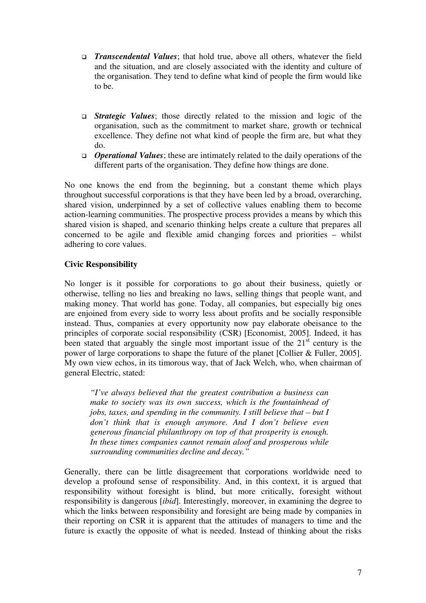- *Transcendental Values*; that hold true, above all others, whatever the field and the situation, and are closely associated with the identity and culture of the organisation. They tend to define what kind of people the firm would like to be.
- *Strategic Values*; those directly related to the mission and logic of the organisation, such as the commitment to market share, growth or technical excellence. They define not what kind of people the firm are, but what they do.
- *Operational Values*; these are intimately related to the daily operations of the different parts of the organisation. They define how things are done.

No one knows the end from the beginning, but a constant theme which plays throughout successful corporations is that they have been led by a broad, overarching, shared vision, underpinned by a set of collective values enabling them to become action-learning communities. The prospective process provides a means by which this shared vision is shaped, and scenario thinking helps create a culture that prepares all concerned to be agile and flexible amid changing forces and priorities – whilst adhering to core values.

#### **Civic Responsibility**

No longer is it possible for corporations to go about their business, quietly or otherwise, telling no lies and breaking no laws, selling things that people want, and making money. That world has gone. Today, all companies, but especially big ones are enjoined from every side to worry less about profits and be socially responsible instead. Thus, companies at every opportunity now pay elaborate obeisance to the principles of corporate social responsibility (CSR) [Economist, 2005]. Indeed, it has been stated that arguably the single most important issue of the  $21<sup>st</sup>$  century is the power of large corporations to shape the future of the planet [Collier & Fuller, 2005]. My own view echos, in its timorous way, that of Jack Welch, who, when chairman of general Electric, stated:

*"I've always believed that the greatest contribution a business can make to society was its own success, which is the fountainhead of jobs, taxes, and spending in the community. I still believe that – but I don't think that is enough anymore. And I don't believe even generous financial philanthropy on top of that prosperity is enough. In these times companies cannot remain aloof and prosperous while surrounding communities decline and decay."*

Generally, there can be little disagreement that corporations worldwide need to develop a profound sense of responsibility. And, in this context, it is argued that responsibility without foresight is blind, but more critically, foresight without responsibility is dangerous [*ibid*]. Interestingly, moreover, in examining the degree to which the links between responsibility and foresight are being made by companies in their reporting on CSR it is apparent that the attitudes of managers to time and the future is exactly the opposite of what is needed. Instead of thinking about the risks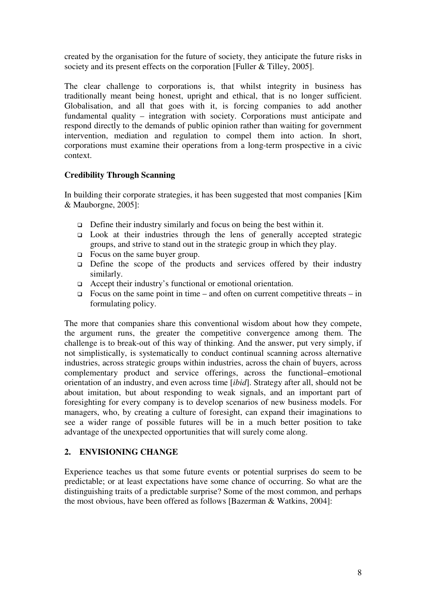created by the organisation for the future of society, they anticipate the future risks in society and its present effects on the corporation [Fuller & Tilley, 2005].

The clear challenge to corporations is, that whilst integrity in business has traditionally meant being honest, upright and ethical, that is no longer sufficient. Globalisation, and all that goes with it, is forcing companies to add another fundamental quality – integration with society. Corporations must anticipate and respond directly to the demands of public opinion rather than waiting for government intervention, mediation and regulation to compel them into action. In short, corporations must examine their operations from a long-term prospective in a civic context.

### **Credibility Through Scanning**

In building their corporate strategies, it has been suggested that most companies [Kim & Mauborgne, 2005]:

- $\Box$  Define their industry similarly and focus on being the best within it.
- $\Box$  Look at their industries through the lens of generally accepted strategic groups, and strive to stand out in the strategic group in which they play.
- Focus on the same buyer group.
- $\Box$  Define the scope of the products and services offered by their industry similarly.
- Accept their industry's functional or emotional orientation.
- Focus on the same point in time and often on current competitive threats in formulating policy.

The more that companies share this conventional wisdom about how they compete, the argument runs, the greater the competitive convergence among them. The challenge is to break-out of this way of thinking. And the answer, put very simply, if not simplistically, is systematically to conduct continual scanning across alternative industries, across strategic groups within industries, across the chain of buyers, across complementary product and service offerings, across the functional–emotional orientation of an industry, and even across time [*ibid*]. Strategy after all, should not be about imitation, but about responding to weak signals, and an important part of foresighting for every company is to develop scenarios of new business models. For managers, who, by creating a culture of foresight, can expand their imaginations to see a wider range of possible futures will be in a much better position to take advantage of the unexpected opportunities that will surely come along.

#### **2. ENVISIONING CHANGE**

Experience teaches us that some future events or potential surprises do seem to be predictable; or at least expectations have some chance of occurring. So what are the distinguishing traits of a predictable surprise? Some of the most common, and perhaps the most obvious, have been offered as follows [Bazerman & Watkins, 2004]: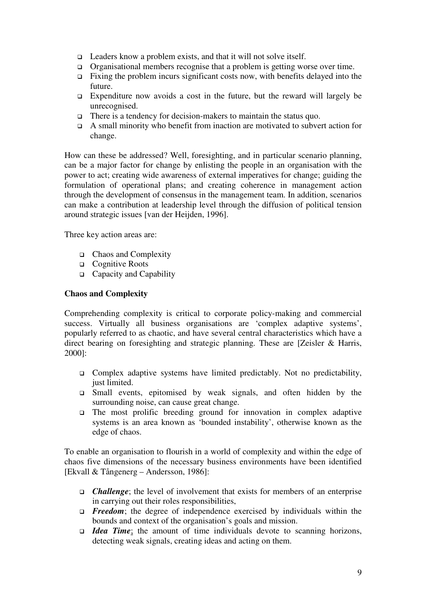- $\Box$  Leaders know a problem exists, and that it will not solve itself.
- $\Box$  Organisational members recognise that a problem is getting worse over time.
- $\Box$  Fixing the problem incurs significant costs now, with benefits delayed into the future.
- Expenditure now avoids a cost in the future, but the reward will largely be unrecognised.
- There is a tendency for decision-makers to maintain the status quo.
- $\Box$  A small minority who benefit from inaction are motivated to subvert action for change.

How can these be addressed? Well, foresighting, and in particular scenario planning, can be a major factor for change by enlisting the people in an organisation with the power to act; creating wide awareness of external imperatives for change; guiding the formulation of operational plans; and creating coherence in management action through the development of consensus in the management team. In addition, scenarios can make a contribution at leadership level through the diffusion of political tension around strategic issues [van der Heijden, 1996].

Three key action areas are:

- Chaos and Complexity
- $\Box$  Cognitive Roots
- Capacity and Capability

#### **Chaos and Complexity**

Comprehending complexity is critical to corporate policy-making and commercial success. Virtually all business organisations are 'complex adaptive systems', popularly referred to as chaotic, and have several central characteristics which have a direct bearing on foresighting and strategic planning. These are [Zeisler & Harris, 2000]:

- $\Box$  Complex adaptive systems have limited predictably. Not no predictability, just limited.
- Small events, epitomised by weak signals, and often hidden by the surrounding noise, can cause great change.
- $\Box$  The most prolific breeding ground for innovation in complex adaptive systems is an area known as 'bounded instability', otherwise known as the edge of chaos.

To enable an organisation to flourish in a world of complexity and within the edge of chaos five dimensions of the necessary business environments have been identified [Ekvall & Tångenerg – Andersson, 1986]:

- *Challenge*; the level of involvement that exists for members of an enterprise in carrying out their roles responsibilities,
- *Freedom*; the degree of independence exercised by individuals within the bounds and context of the organisation's goals and mission.
- *Idea Time*; the amount of time individuals devote to scanning horizons, detecting weak signals, creating ideas and acting on them.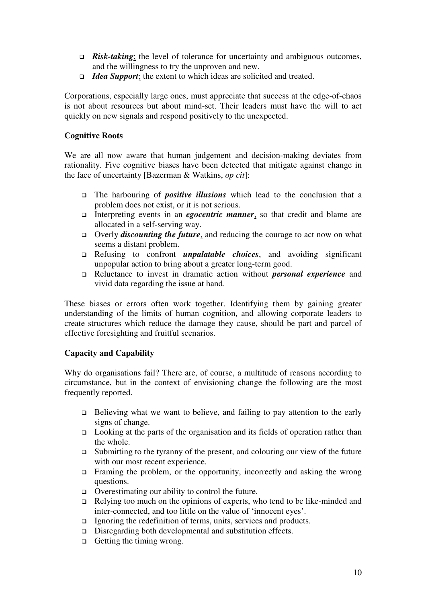- *Risk-taking*; the level of tolerance for uncertainty and ambiguous outcomes, and the willingness to try the unproven and new.
- *Idea Support*; the extent to which ideas are solicited and treated.

Corporations, especially large ones, must appreciate that success at the edge-of-chaos is not about resources but about mind-set. Their leaders must have the will to act quickly on new signals and respond positively to the unexpected.

#### **Cognitive Roots**

We are all now aware that human judgement and decision-making deviates from rationality. Five cognitive biases have been detected that mitigate against change in the face of uncertainty [Bazerman & Watkins, *op cit*]:

- The harbouring of *positive illusions* which lead to the conclusion that a problem does not exist, or it is not serious.
- Interpreting events in an *egocentric manner*, so that credit and blame are allocated in a self-serving way.
- Overly *discounting the future*, and reducing the courage to act now on what seems a distant problem.
- Refusing to confront *unpalatable choices*, and avoiding significant unpopular action to bring about a greater long-term good.
- Reluctance to invest in dramatic action without *personal experience* and vivid data regarding the issue at hand.

These biases or errors often work together. Identifying them by gaining greater understanding of the limits of human cognition, and allowing corporate leaders to create structures which reduce the damage they cause, should be part and parcel of effective foresighting and fruitful scenarios.

#### **Capacity and Capability**

Why do organisations fail? There are, of course, a multitude of reasons according to circumstance, but in the context of envisioning change the following are the most frequently reported.

- $\Box$  Believing what we want to believe, and failing to pay attention to the early signs of change.
- □ Looking at the parts of the organisation and its fields of operation rather than the whole.
- Submitting to the tyranny of the present, and colouring our view of the future with our most recent experience.
- $\Box$  Framing the problem, or the opportunity, incorrectly and asking the wrong questions.
- Overestimating our ability to control the future.
- □ Relying too much on the opinions of experts, who tend to be like-minded and inter-connected, and too little on the value of 'innocent eyes'.
- Ignoring the redefinition of terms, units, services and products.
- Disregarding both developmental and substitution effects.
- $\Box$  Getting the timing wrong.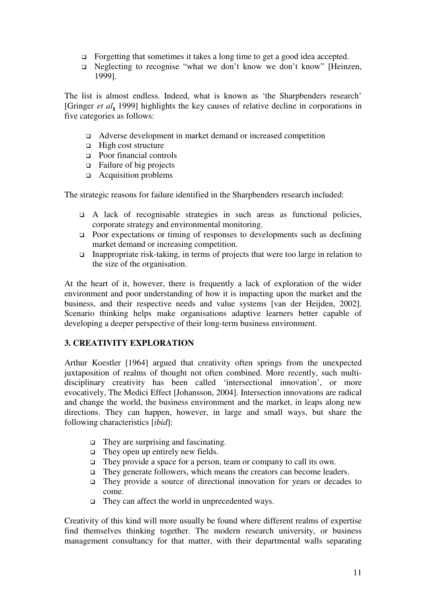- $\Box$  Forgetting that sometimes it takes a long time to get a good idea accepted.
- Neglecting to recognise "what we don't know we don't know" [Heinzen, 1999].

The list is almost endless. Indeed, what is known as 'the Sharpbenders research' [Gringer *et al***,** 1999] highlights the key causes of relative decline in corporations in five categories as follows:

- Adverse development in market demand or increased competition
- $\Box$  High cost structure
- **Poor financial controls**
- $\Box$  Failure of big projects
- Acquisition problems

The strategic reasons for failure identified in the Sharpbenders research included:

- $\Box$  A lack of recognisable strategies in such areas as functional policies, corporate strategy and environmental monitoring.
- $\Box$  Poor expectations or timing of responses to developments such as declining market demand or increasing competition.
- Inappropriate risk-taking, in terms of projects that were too large in relation to the size of the organisation.

At the heart of it, however, there is frequently a lack of exploration of the wider environment and poor understanding of how it is impacting upon the market and the business, and their respective needs and value systems [van der Heijden, 2002]. Scenario thinking helps make organisations adaptive learners better capable of developing a deeper perspective of their long-term business environment.

#### **3. CREATIVITY EXPLORATION**

Arthur Koestler [1964] argued that creativity often springs from the unexpected juxtaposition of realms of thought not often combined. More recently, such multidisciplinary creativity has been called 'intersectional innovation', or more evocatively, The Medici Effect [Johansson, 2004]. Intersection innovations are radical and change the world, the business environment and the market, in leaps along new directions. They can happen, however, in large and small ways, but share the following characteristics [*ibid*]:

- $\Box$  They are surprising and fascinating.
- $\Box$  They open up entirely new fields.
- $\Box$  They provide a space for a person, team or company to call its own.
- They generate followers, which means the creators can become leaders.
- They provide a source of directional innovation for years or decades to come.
- $\Box$  They can affect the world in unprecedented ways.

Creativity of this kind will more usually be found where different realms of expertise find themselves thinking together. The modern research university, or business management consultancy for that matter, with their departmental walls separating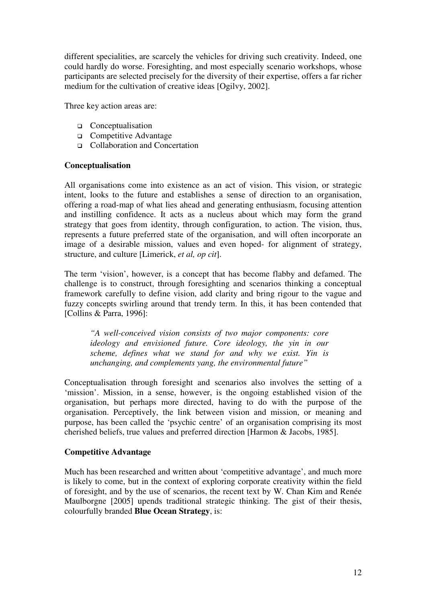different specialities, are scarcely the vehicles for driving such creativity. Indeed, one could hardly do worse. Foresighting, and most especially scenario workshops, whose participants are selected precisely for the diversity of their expertise, offers a far richer medium for the cultivation of creative ideas [Ogilvy, 2002].

Three key action areas are:

- Conceptualisation
- □ Competitive Advantage
- □ Collaboration and Concertation

#### **Conceptualisation**

All organisations come into existence as an act of vision. This vision, or strategic intent, looks to the future and establishes a sense of direction to an organisation, offering a road-map of what lies ahead and generating enthusiasm, focusing attention and instilling confidence. It acts as a nucleus about which may form the grand strategy that goes from identity, through configuration, to action. The vision, thus, represents a future preferred state of the organisation, and will often incorporate an image of a desirable mission, values and even hoped- for alignment of strategy, structure, and culture [Limerick, *et al, op cit*].

The term 'vision', however, is a concept that has become flabby and defamed. The challenge is to construct, through foresighting and scenarios thinking a conceptual framework carefully to define vision, add clarity and bring rigour to the vague and fuzzy concepts swirling around that trendy term. In this, it has been contended that [Collins & Parra, 1996]:

*"A well-conceived vision consists of two major components: core ideology and envisioned future. Core ideology, the yin in our scheme, defines what we stand for and why we exist. Yin is unchanging, and complements yang, the environmental future"*

Conceptualisation through foresight and scenarios also involves the setting of a 'mission'. Mission, in a sense, however, is the ongoing established vision of the organisation, but perhaps more directed, having to do with the purpose of the organisation. Perceptively, the link between vision and mission, or meaning and purpose, has been called the 'psychic centre' of an organisation comprising its most cherished beliefs, true values and preferred direction [Harmon & Jacobs, 1985].

#### **Competitive Advantage**

Much has been researched and written about 'competitive advantage', and much more is likely to come, but in the context of exploring corporate creativity within the field of foresight, and by the use of scenarios, the recent text by W. Chan Kim and Renée Maulborgne [2005] upends traditional strategic thinking. The gist of their thesis, colourfully branded **Blue Ocean Strategy**, is: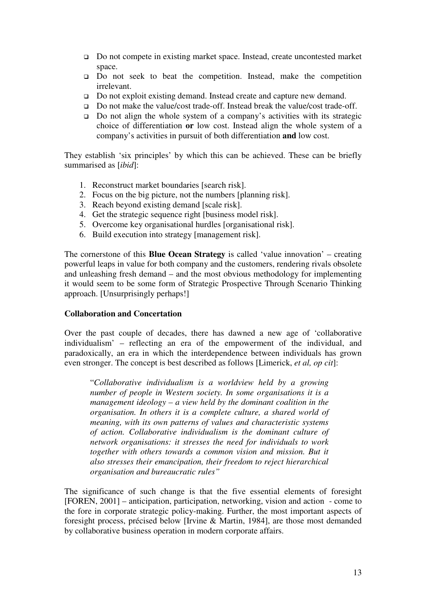- Do not compete in existing market space. Instead, create uncontested market space.
- Do not seek to beat the competition. Instead, make the competition irrelevant.
- Do not exploit existing demand. Instead create and capture new demand.
- □ Do not make the value/cost trade-off. Instead break the value/cost trade-off.
- $\Box$  Do not align the whole system of a company's activities with its strategic choice of differentiation **or** low cost. Instead align the whole system of a company's activities in pursuit of both differentiation **and** low cost.

They establish 'six principles' by which this can be achieved. These can be briefly summarised as [*ibid*]:

- 1. Reconstruct market boundaries [search risk].
- 2. Focus on the big picture, not the numbers [planning risk].
- 3. Reach beyond existing demand [scale risk].
- 4. Get the strategic sequence right [business model risk].
- 5. Overcome key organisational hurdles [organisational risk].
- 6. Build execution into strategy [management risk].

The cornerstone of this **Blue Ocean Strategy** is called 'value innovation' – creating powerful leaps in value for both company and the customers, rendering rivals obsolete and unleashing fresh demand – and the most obvious methodology for implementing it would seem to be some form of Strategic Prospective Through Scenario Thinking approach. [Unsurprisingly perhaps!]

#### **Collaboration and Concertation**

Over the past couple of decades, there has dawned a new age of 'collaborative individualism' – reflecting an era of the empowerment of the individual, and paradoxically, an era in which the interdependence between individuals has grown even stronger. The concept is best described as follows [Limerick, *et al, op cit*]:

"*Collaborative individualism is a worldview held by a growing number of people in Western society. In some organisations it is a management ideology – a view held by the dominant coalition in the organisation. In others it is a complete culture, a shared world of meaning, with its own patterns of values and characteristic systems of action. Collaborative individualism is the dominant culture of network organisations: it stresses the need for individuals to work together with others towards a common vision and mission. But it also stresses their emancipation, their freedom to reject hierarchical organisation and bureaucratic rules"*

The significance of such change is that the five essential elements of foresight [FOREN, 2001] – anticipation, participation, networking, vision and action - come to the fore in corporate strategic policy-making. Further, the most important aspects of foresight process, précised below [Irvine & Martin, 1984], are those most demanded by collaborative business operation in modern corporate affairs.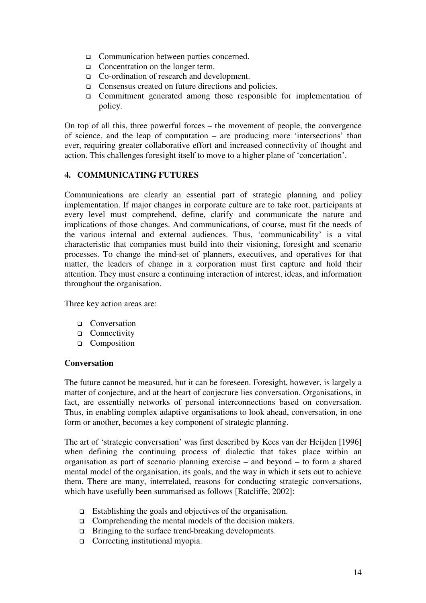- □ Communication between parties concerned.
- □ Concentration on the longer term.
- Co-ordination of research and development.
- Consensus created on future directions and policies.
- Commitment generated among those responsible for implementation of policy.

On top of all this, three powerful forces – the movement of people, the convergence of science, and the leap of computation – are producing more 'intersections' than ever, requiring greater collaborative effort and increased connectivity of thought and action. This challenges foresight itself to move to a higher plane of 'concertation'.

#### **4. COMMUNICATING FUTURES**

Communications are clearly an essential part of strategic planning and policy implementation. If major changes in corporate culture are to take root, participants at every level must comprehend, define, clarify and communicate the nature and implications of those changes. And communications, of course, must fit the needs of the various internal and external audiences. Thus, 'communicability' is a vital characteristic that companies must build into their visioning, foresight and scenario processes. To change the mind-set of planners, executives, and operatives for that matter, the leaders of change in a corporation must first capture and hold their attention. They must ensure a continuing interaction of interest, ideas, and information throughout the organisation.

Three key action areas are:

- □ Conversation
- $\Box$  Connectivity
- □ Composition

#### **Conversation**

The future cannot be measured, but it can be foreseen. Foresight, however, is largely a matter of conjecture, and at the heart of conjecture lies conversation. Organisations, in fact, are essentially networks of personal interconnections based on conversation. Thus, in enabling complex adaptive organisations to look ahead, conversation, in one form or another, becomes a key component of strategic planning.

The art of 'strategic conversation' was first described by Kees van der Heijden [1996] when defining the continuing process of dialectic that takes place within an organisation as part of scenario planning exercise – and beyond – to form a shared mental model of the organisation, its goals, and the way in which it sets out to achieve them. There are many, interrelated, reasons for conducting strategic conversations, which have usefully been summarised as follows [Ratcliffe, 2002]:

- Establishing the goals and objectives of the organisation.
- Comprehending the mental models of the decision makers.
- $\Box$  Bringing to the surface trend-breaking developments.
- **Q** Correcting institutional myopia.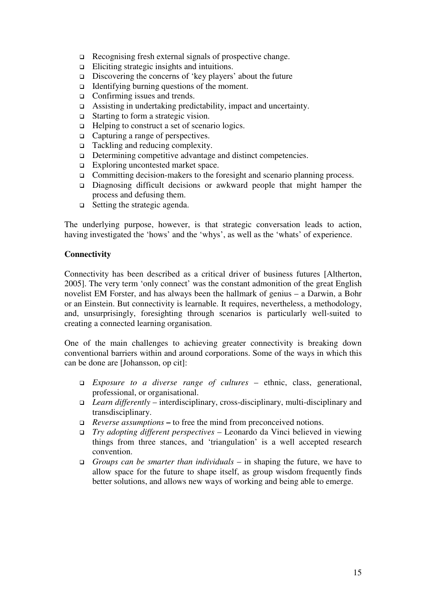- Recognising fresh external signals of prospective change.
- $\Box$  Eliciting strategic insights and intuitions.
- Discovering the concerns of 'key players' about the future
- Identifying burning questions of the moment.
- □ Confirming issues and trends.
- Assisting in undertaking predictability, impact and uncertainty.
- Starting to form a strategic vision.
- $\Box$  Helping to construct a set of scenario logics.
- □ Capturing a range of perspectives.
- □ Tackling and reducing complexity.
- Determining competitive advantage and distinct competencies.
- □ Exploring uncontested market space.
- $\Box$  Committing decision-makers to the foresight and scenario planning process.
- Diagnosing difficult decisions or awkward people that might hamper the process and defusing them.
- □ Setting the strategic agenda.

The underlying purpose, however, is that strategic conversation leads to action, having investigated the 'hows' and the 'whys', as well as the 'whats' of experience.

#### **Connectivity**

Connectivity has been described as a critical driver of business futures [Altherton, 2005]. The very term 'only connect' was the constant admonition of the great English novelist EM Forster, and has always been the hallmark of genius – a Darwin, a Bohr or an Einstein. But connectivity is learnable. It requires, nevertheless, a methodology, and, unsurprisingly, foresighting through scenarios is particularly well-suited to creating a connected learning organisation.

One of the main challenges to achieving greater connectivity is breaking down conventional barriers within and around corporations. Some of the ways in which this can be done are [Johansson, op cit]:

- *Exposure to a diverse range of cultures* ethnic, class, generational, professional, or organisational.
- *Learn differently* interdisciplinary, cross-disciplinary, multi-disciplinary and transdisciplinary.
- *Reverse assumptions* **–** to free the mind from preconceived notions.
- *Try adopting different perspectives* Leonardo da Vinci believed in viewing things from three stances, and 'triangulation' is a well accepted research convention.
- *Groups can be smarter than individuals* in shaping the future, we have to allow space for the future to shape itself, as group wisdom frequently finds better solutions, and allows new ways of working and being able to emerge.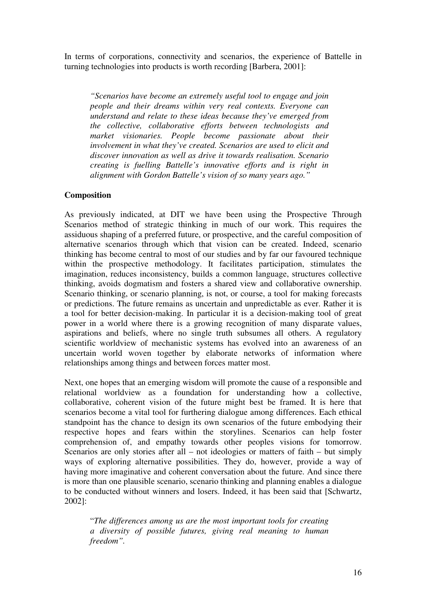In terms of corporations, connectivity and scenarios, the experience of Battelle in turning technologies into products is worth recording [Barbera, 2001]:

*"Scenarios have become an extremely useful tool to engage and join people and their dreams within very real contexts. Everyone can understand and relate to these ideas because they've emerged from the collective, collaborative efforts between technologists and market visionaries. People become passionate about their involvement in what they've created. Scenarios are used to elicit and discover innovation as well as drive it towards realisation. Scenario creating is fuelling Battelle's innovative efforts and is right in alignment with Gordon Battelle's vision of so many years ago."*

#### **Composition**

As previously indicated, at DIT we have been using the Prospective Through Scenarios method of strategic thinking in much of our work. This requires the assiduous shaping of a preferred future, or prospective, and the careful composition of alternative scenarios through which that vision can be created. Indeed, scenario thinking has become central to most of our studies and by far our favoured technique within the prospective methodology. It facilitates participation, stimulates the imagination, reduces inconsistency, builds a common language, structures collective thinking, avoids dogmatism and fosters a shared view and collaborative ownership. Scenario thinking, or scenario planning, is not, or course, a tool for making forecasts or predictions. The future remains as uncertain and unpredictable as ever. Rather it is a tool for better decision-making. In particular it is a decision-making tool of great power in a world where there is a growing recognition of many disparate values, aspirations and beliefs, where no single truth subsumes all others. A regulatory scientific worldview of mechanistic systems has evolved into an awareness of an uncertain world woven together by elaborate networks of information where relationships among things and between forces matter most.

Next, one hopes that an emerging wisdom will promote the cause of a responsible and relational worldview as a foundation for understanding how a collective, collaborative, coherent vision of the future might best be framed. It is here that scenarios become a vital tool for furthering dialogue among differences. Each ethical standpoint has the chance to design its own scenarios of the future embodying their respective hopes and fears within the storylines. Scenarios can help foster comprehension of, and empathy towards other peoples visions for tomorrow. Scenarios are only stories after all – not ideologies or matters of faith – but simply ways of exploring alternative possibilities. They do, however, provide a way of having more imaginative and coherent conversation about the future. And since there is more than one plausible scenario, scenario thinking and planning enables a dialogue to be conducted without winners and losers. Indeed, it has been said that [Schwartz, 2002]:

"*The differences among us are the most important tools for creating a diversity of possible futures, giving real meaning to human freedom".*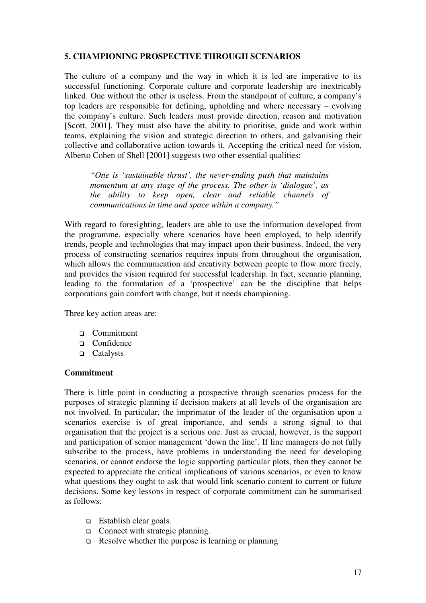#### **5. CHAMPIONING PROSPECTIVE THROUGH SCENARIOS**

The culture of a company and the way in which it is led are imperative to its successful functioning. Corporate culture and corporate leadership are inextricably linked. One without the other is useless. From the standpoint of culture, a company's top leaders are responsible for defining, upholding and where necessary – evolving the company's culture. Such leaders must provide direction, reason and motivation [Scott, 2001]. They must also have the ability to prioritise, guide and work within teams, explaining the vision and strategic direction to others, and galvanising their collective and collaborative action towards it. Accepting the critical need for vision, Alberto Cohen of Shell [2001] suggests two other essential qualities:

*"One is 'sustainable thrust', the never-ending push that maintains momentum at any stage of the process. The other is 'dialogue', as the ability to keep open, clear and reliable channels of communications in time and space within a company."*

With regard to foresighting, leaders are able to use the information developed from the programme, especially where scenarios have been employed, to help identify trends, people and technologies that may impact upon their business. Indeed, the very process of constructing scenarios requires inputs from throughout the organisation, which allows the communication and creativity between people to flow more freely, and provides the vision required for successful leadership. In fact, scenario planning, leading to the formulation of a 'prospective' can be the discipline that helps corporations gain comfort with change, but it needs championing.

Three key action areas are:

- Commitment
- □ Confidence
- □ Catalysts

#### **Commitment**

There is little point in conducting a prospective through scenarios process for the purposes of strategic planning if decision makers at all levels of the organisation are not involved. In particular, the imprimatur of the leader of the organisation upon a scenarios exercise is of great importance, and sends a strong signal to that organisation that the project is a serious one. Just as crucial, however, is the support and participation of senior management 'down the line'. If line managers do not fully subscribe to the process, have problems in understanding the need for developing scenarios, or cannot endorse the logic supporting particular plots, then they cannot be expected to appreciate the critical implications of various scenarios, or even to know what questions they ought to ask that would link scenario content to current or future decisions. Some key lessons in respect of corporate commitment can be summarised as follows:

- $\Box$  Establish clear goals.
- $\Box$  Connect with strategic planning.
- **Resolve whether the purpose is learning or planning**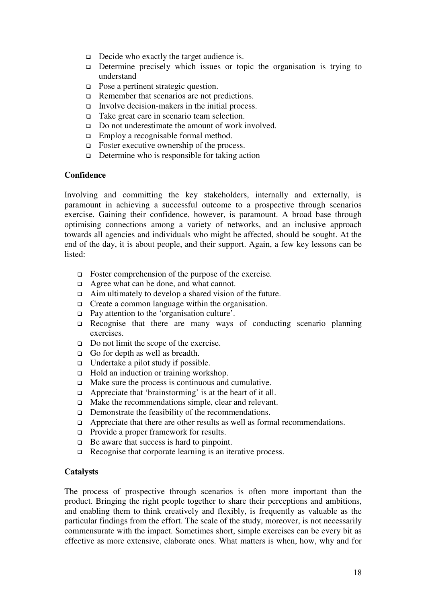- $\Box$  Decide who exactly the target audience is.
- Determine precisely which issues or topic the organisation is trying to understand
- □ Pose a pertinent strategic question.
- **Example 1** Remember that scenarios are not predictions.
- Involve decision-makers in the initial process.
- □ Take great care in scenario team selection.
- $\Box$  Do not underestimate the amount of work involved.
- **Employ a recognisable formal method.**
- $\Box$  Foster executive ownership of the process.
- $\Box$  Determine who is responsible for taking action

#### **Confidence**

Involving and committing the key stakeholders, internally and externally, is paramount in achieving a successful outcome to a prospective through scenarios exercise. Gaining their confidence, however, is paramount. A broad base through optimising connections among a variety of networks, and an inclusive approach towards all agencies and individuals who might be affected, should be sought. At the end of the day, it is about people, and their support. Again, a few key lessons can be listed:

- $\Box$  Foster comprehension of the purpose of the exercise.
- □ Agree what can be done, and what cannot.
- Aim ultimately to develop a shared vision of the future.
- □ Create a common language within the organisation.
- □ Pay attention to the 'organisation culture'.
- $\Box$  Recognise that there are many ways of conducting scenario planning exercises.
- Do not limit the scope of the exercise.
- Go for depth as well as breadth.
- □ Undertake a pilot study if possible.
- Hold an induction or training workshop.
- $\Box$  Make sure the process is continuous and cumulative.
- Appreciate that 'brainstorming' is at the heart of it all.
- $\Box$  Make the recommendations simple, clear and relevant.
- $\Box$  Demonstrate the feasibility of the recommendations.
- $\Box$  Appreciate that there are other results as well as formal recommendations.
- □ Provide a proper framework for results.
- $\Box$  Be aware that success is hard to pinpoint.
- Recognise that corporate learning is an iterative process.

#### **Catalysts**

The process of prospective through scenarios is often more important than the product. Bringing the right people together to share their perceptions and ambitions, and enabling them to think creatively and flexibly, is frequently as valuable as the particular findings from the effort. The scale of the study, moreover, is not necessarily commensurate with the impact. Sometimes short, simple exercises can be every bit as effective as more extensive, elaborate ones. What matters is when, how, why and for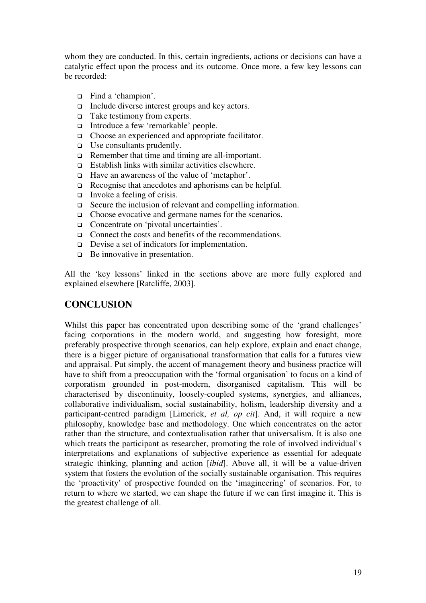whom they are conducted. In this, certain ingredients, actions or decisions can have a catalytic effect upon the process and its outcome. Once more, a few key lessons can be recorded:

- Find a 'champion'.
- $\Box$  Include diverse interest groups and key actors.
- $\Box$  Take testimony from experts.
- Introduce a few 'remarkable' people.
- Choose an experienced and appropriate facilitator.
- $\Box$  Use consultants prudently.
- Remember that time and timing are all-important.
- $\Box$  Establish links with similar activities elsewhere.
- Have an awareness of the value of 'metaphor'.
- Recognise that anecdotes and aphorisms can be helpful.
- Invoke a feeling of crisis.
- □ Secure the inclusion of relevant and compelling information.
- Choose evocative and germane names for the scenarios.
- Concentrate on 'pivotal uncertainties'.
- □ Connect the costs and benefits of the recommendations.
- Devise a set of indicators for implementation.
- $\Box$  Be innovative in presentation.

All the 'key lessons' linked in the sections above are more fully explored and explained elsewhere [Ratcliffe, 2003].

# **CONCLUSION**

Whilst this paper has concentrated upon describing some of the 'grand challenges' facing corporations in the modern world, and suggesting how foresight, more preferably prospective through scenarios, can help explore, explain and enact change, there is a bigger picture of organisational transformation that calls for a futures view and appraisal. Put simply, the accent of management theory and business practice will have to shift from a preoccupation with the 'formal organisation' to focus on a kind of corporatism grounded in post-modern, disorganised capitalism. This will be characterised by discontinuity, loosely-coupled systems, synergies, and alliances, collaborative individualism, social sustainability, holism, leadership diversity and a participant-centred paradigm [Limerick, *et al, op cit*]. And, it will require a new philosophy, knowledge base and methodology. One which concentrates on the actor rather than the structure, and contextualisation rather that universalism. It is also one which treats the participant as researcher, promoting the role of involved individual's interpretations and explanations of subjective experience as essential for adequate strategic thinking, planning and action [*ibid*]. Above all, it will be a value-driven system that fosters the evolution of the socially sustainable organisation. This requires the 'proactivity' of prospective founded on the 'imagineering' of scenarios. For, to return to where we started, we can shape the future if we can first imagine it. This is the greatest challenge of all.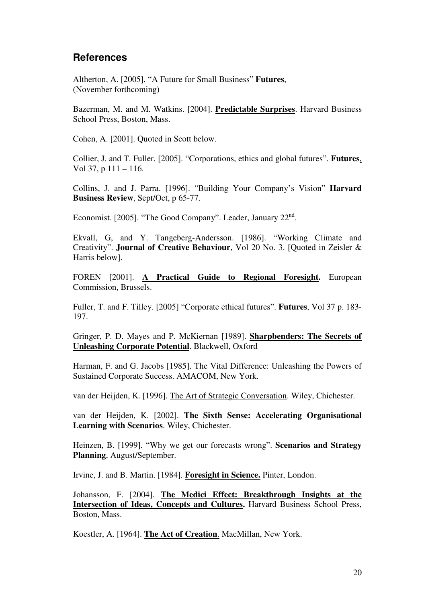### **References**

Altherton, A. [2005]. "A Future for Small Business" **Futures**, (November forthcoming)

Bazerman, M. and M. Watkins. [2004]. **Predictable Surprises**. Harvard Business School Press, Boston, Mass.

Cohen, A. [2001]. Quoted in Scott below.

Collier, J. and T. Fuller. [2005]. "Corporations, ethics and global futures". **Futures**, Vol 37, p  $111 - 116$ .

Collins, J. and J. Parra. [1996]. "Building Your Company's Vision" **Harvard Business Review**, Sept/Oct, p 65-77.

Economist. [2005]. "The Good Company". Leader, January 22<sup>nd</sup>.

Ekvall, G, and Y. Tangeberg-Andersson. [1986]. "Working Climate and Creativity". **Journal of Creative Behaviour**, Vol 20 No. 3. [Quoted in Zeisler & Harris below].

FOREN [2001]. **A Practical Guide to Regional Foresight.** European Commission, Brussels.

Fuller, T. and F. Tilley. [2005] "Corporate ethical futures". **Futures**, Vol 37 p. 183- 197.

Gringer, P. D. Mayes and P. McKiernan [1989]. **Sharpbenders: The Secrets of Unleashing Corporate Potential**. Blackwell, Oxford

Harman, F. and G. Jacobs [1985]. The Vital Difference: Unleashing the Powers of Sustained Corporate Success. AMACOM, New York.

van der Heijden, K. [1996]. The Art of Strategic Conversation. Wiley, Chichester.

van der Heijden, K. [2002]. **The Sixth Sense: Accelerating Organisational Learning with Scenarios**. Wiley, Chichester.

Heinzen, B. [1999]. "Why we get our forecasts wrong". **Scenarios and Strategy Planning**, August/September.

Irvine, J. and B. Martin. [1984]. **Foresight in Science.** Pinter, London.

Johansson, F. [2004]. **The Medici Effect: Breakthrough Insights at the Intersection of Ideas, Concepts and Cultures.** Harvard Business School Press, Boston, Mass.

Koestler, A. [1964]. **The Act of Creation**. MacMillan, New York.